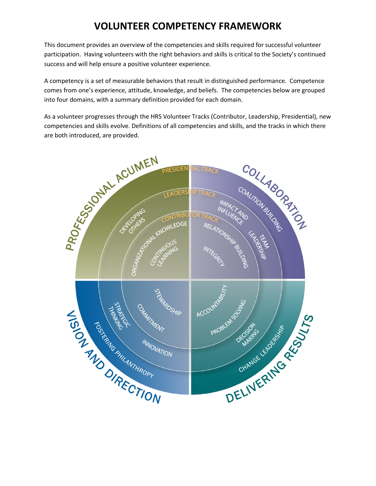## **VOLUNTEER COMPETENCY FRAMEWORK**

This document provides an overview of the competencies and skills required for successful volunteer participation. Having volunteers with the right behaviors and skills is critical to the Society's continued success and will help ensure a positive volunteer experience.

A competency is a set of measurable behaviors that result in distinguished performance. Competence comes from one's experience, attitude, knowledge, and beliefs. The competencies below are grouped into four domains, with a summary definition provided for each domain.

As a volunteer progresses through the HRS Volunteer Tracks (Contributor, Leadership, Presidential), new competencies and skills evolve. Definitions of all competencies and skills, and the tracks in which there

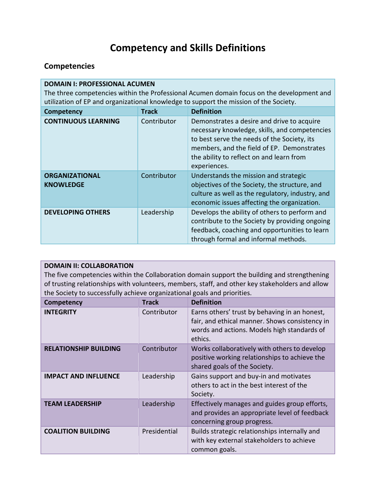# **Competency and Skills Definitions**

### **Competencies**

| <b>DOMAIN I: PROFESSIONAL ACUMEN</b><br>The three competencies within the Professional Acumen domain focus on the development and<br>utilization of EP and organizational knowledge to support the mission of the Society. |              |                                                                                                                                                                                                                                                      |
|----------------------------------------------------------------------------------------------------------------------------------------------------------------------------------------------------------------------------|--------------|------------------------------------------------------------------------------------------------------------------------------------------------------------------------------------------------------------------------------------------------------|
| <b>Competency</b>                                                                                                                                                                                                          | <b>Track</b> | <b>Definition</b>                                                                                                                                                                                                                                    |
| <b>CONTINUOUS LEARNING</b>                                                                                                                                                                                                 | Contributor  | Demonstrates a desire and drive to acquire<br>necessary knowledge, skills, and competencies<br>to best serve the needs of the Society, its<br>members, and the field of EP. Demonstrates<br>the ability to reflect on and learn from<br>experiences. |
| <b>ORGANIZATIONAL</b><br><b>KNOWLEDGE</b>                                                                                                                                                                                  | Contributor  | Understands the mission and strategic<br>objectives of the Society, the structure, and<br>culture as well as the regulatory, industry, and<br>economic issues affecting the organization.                                                            |
| <b>DEVELOPING OTHERS</b>                                                                                                                                                                                                   | Leadership   | Develops the ability of others to perform and<br>contribute to the Society by providing ongoing<br>feedback, coaching and opportunities to learn<br>through formal and informal methods.                                                             |

| <b>DOMAIN II: COLLABORATION</b>                                                                 |  |                                                                                              |
|-------------------------------------------------------------------------------------------------|--|----------------------------------------------------------------------------------------------|
|                                                                                                 |  | The five competencies within the Collaboration domain support the building and strengthening |
| of trusting relationships with volunteers, members, staff, and other key stakeholders and allow |  |                                                                                              |
| the Society to successfully achieve organizational goals and priorities.                        |  |                                                                                              |
|                                                                                                 |  |                                                                                              |

| <b>Competency</b>            | <b>Track</b> | <b>Definition</b>                                                                                                                                         |
|------------------------------|--------------|-----------------------------------------------------------------------------------------------------------------------------------------------------------|
| <b>INTEGRITY</b>             | Contributor  | Earns others' trust by behaving in an honest,<br>fair, and ethical manner. Shows consistency in<br>words and actions. Models high standards of<br>ethics. |
| <b>RELATIONSHIP BUILDING</b> | Contributor  | Works collaboratively with others to develop<br>positive working relationships to achieve the<br>shared goals of the Society.                             |
| <b>IMPACT AND INFLUENCE</b>  | Leadership   | Gains support and buy-in and motivates<br>others to act in the best interest of the<br>Society.                                                           |
| <b>TEAM LEADERSHIP</b>       | Leadership   | Effectively manages and guides group efforts,<br>and provides an appropriate level of feedback<br>concerning group progress.                              |
| <b>COALITION BUILDING</b>    | Presidential | Builds strategic relationships internally and<br>with key external stakeholders to achieve<br>common goals.                                               |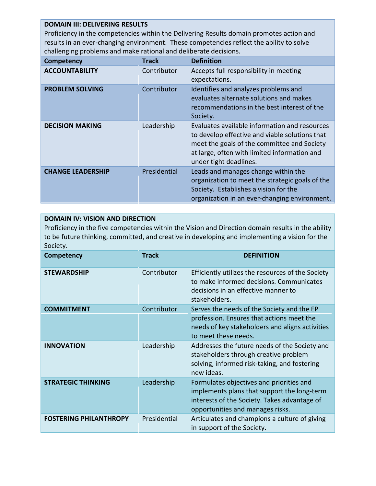#### **DOMAIN III: DELIVERING RESULTS**

Proficiency in the competencies within the Delivering Results domain promotes action and results in an ever-changing environment. These competencies reflect the ability to solve challenging problems and make rational and deliberate decisions.

| <b>Competency</b>        | <b>Track</b> | <b>Definition</b>                                                                                                                                                                                                        |
|--------------------------|--------------|--------------------------------------------------------------------------------------------------------------------------------------------------------------------------------------------------------------------------|
| <b>ACCOUNTABILITY</b>    | Contributor  | Accepts full responsibility in meeting<br>expectations.                                                                                                                                                                  |
| <b>PROBLEM SOLVING</b>   | Contributor  | Identifies and analyzes problems and<br>evaluates alternate solutions and makes<br>recommendations in the best interest of the<br>Society.                                                                               |
| <b>DECISION MAKING</b>   | Leadership   | Evaluates available information and resources<br>to develop effective and viable solutions that<br>meet the goals of the committee and Society<br>at large, often with limited information and<br>under tight deadlines. |
| <b>CHANGE LEADERSHIP</b> | Presidential | Leads and manages change within the<br>organization to meet the strategic goals of the<br>Society. Establishes a vision for the<br>organization in an ever-changing environment.                                         |

#### **DOMAIN IV: VISION AND DIRECTION**

Proficiency in the five competencies within the Vision and Direction domain results in the ability to be future thinking, committed, and creative in developing and implementing a vision for the Society.

| Competency                    | <b>Track</b> | <b>DEFINITION</b>                                                                                                                                                           |
|-------------------------------|--------------|-----------------------------------------------------------------------------------------------------------------------------------------------------------------------------|
| <b>STEWARDSHIP</b>            | Contributor  | Efficiently utilizes the resources of the Society<br>to make informed decisions. Communicates<br>decisions in an effective manner to<br>stakeholders.                       |
| <b>COMMITMENT</b>             | Contributor  | Serves the needs of the Society and the EP<br>profession. Ensures that actions meet the<br>needs of key stakeholders and aligns activities<br>to meet these needs.          |
| <b>INNOVATION</b>             | Leadership   | Addresses the future needs of the Society and<br>stakeholders through creative problem<br>solving, informed risk-taking, and fostering<br>new ideas.                        |
| <b>STRATEGIC THINKING</b>     | Leadership   | Formulates objectives and priorities and<br>implements plans that support the long-term<br>interests of the Society. Takes advantage of<br>opportunities and manages risks. |
| <b>FOSTERING PHILANTHROPY</b> | Presidential | Articulates and champions a culture of giving<br>in support of the Society.                                                                                                 |